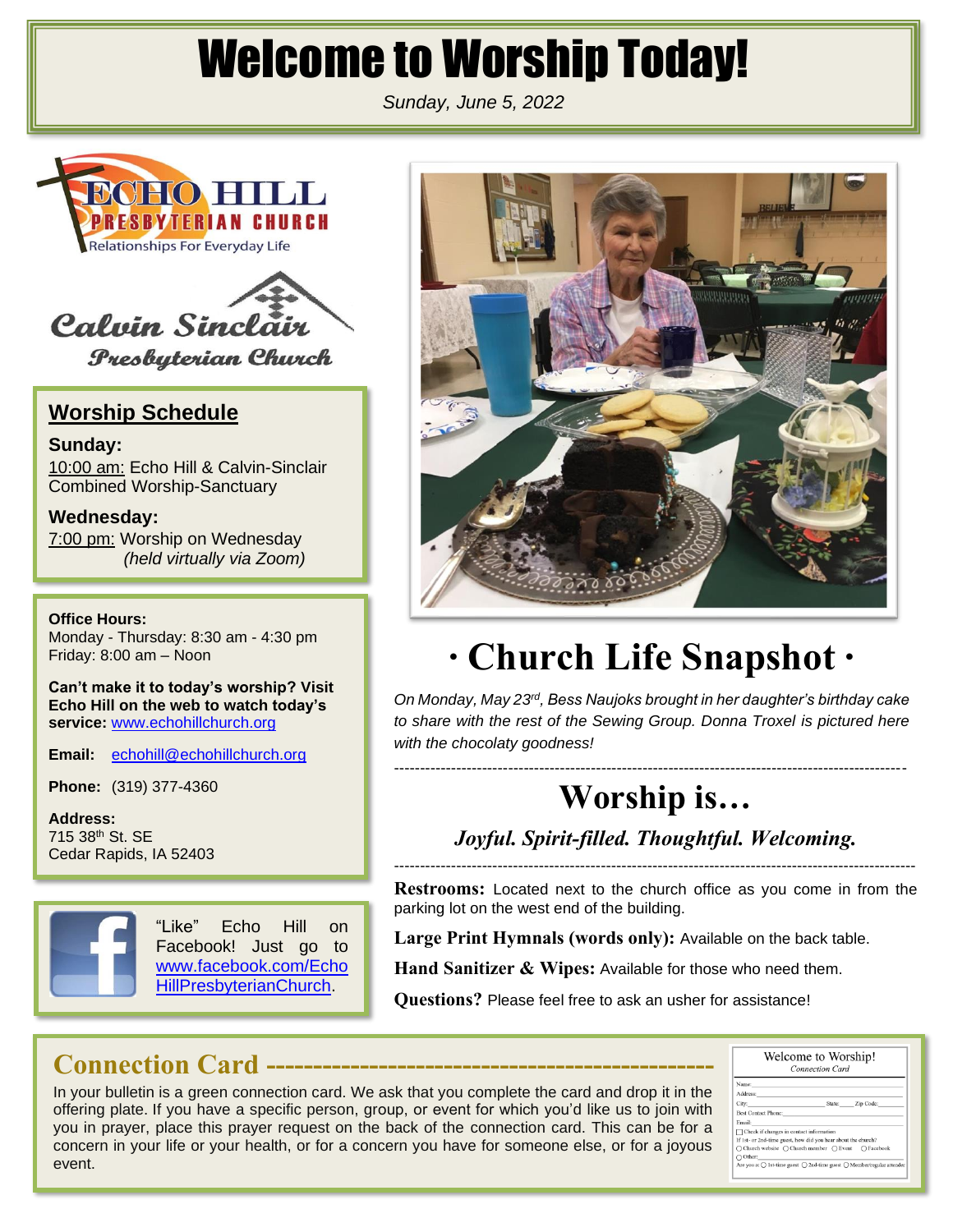# Welcome to Worship Today!

*Sunday, June 5, 2022*





**Presbyterian Church** 

#### **Worship Schedule**

**Sunday:** 10:00 am: Echo Hill & Calvin-Sinclair Combined Worship-Sanctuary

**Wednesday:** 7:00 pm: Worship on Wednesday *(held virtually via Zoom)*

**Office Hours:** Monday - Thursday: 8:30 am - 4:30 pm Friday: 8:00 am – Noon

**Can't make it to today's worship? Visit Echo Hill on the web to watch today's service:** [www.echohillchurch.org](http://www.echohillchurch.org/)

**Email:** [echohill@echohillchurch.org](mailto:echohill@echohillchurch.org)

**Phone:** (319) 377-4360

**Address:** 715 38th St. SE Cedar Rapids, IA 52403



"Like" Echo Hill on Facebook! Just go to [www.facebook.com/Echo](http://www.facebook.com/EchoHillPresbyterianChurch) [HillPresbyterianChurch.](http://www.facebook.com/EchoHillPresbyterianChurch)



# **∙ Church Life Snapshot ∙**

*On Monday, May 23rd, Bess Naujoks brought in her daughter's birthday cake to share with the rest of the Sewing Group. Donna Troxel is pictured here with the chocolaty goodness!*

## **Worship is…**

*Joyful. Spirit-filled. Thoughtful. Welcoming.* -----------------------------------------------------------------------------------------------------

**Restrooms:** Located next to the church office as you come in from the parking lot on the west end of the building.

**Large Print Hymnals (words only):** Available on the back table.

**Hand Sanitizer & Wipes:** Available for those who need them.

**Questions?** Please feel free to ask an usher for assistance!

### **Connection Card ------------------------------------------------**

In your bulletin is a green connection card. We ask that you complete the card and drop it in the offering plate. If you have a specific person, group, or event for which you'd like us to join with you in prayer, place this prayer request on the back of the connection card. This can be for a concern in your life or your health, or for a concern you have for someone else, or for a joyous event.

| Welcome to Worship!<br><b>Connection Card</b>                                                  |  |                  |  |
|------------------------------------------------------------------------------------------------|--|------------------|--|
| Name:                                                                                          |  |                  |  |
| Address:                                                                                       |  |                  |  |
| City:                                                                                          |  | State: Zip Code: |  |
| <b>Best Contact Phone:</b>                                                                     |  |                  |  |
| Email:                                                                                         |  |                  |  |
| Check if changes in contact information                                                        |  |                  |  |
| If 1st- or 2nd-time guest, how did you hear about the church?                                  |  |                  |  |
| ○ Church website ○ Church member ○ Event ○ Facebook                                            |  |                  |  |
| $\bigcap$ Other:                                                                               |  |                  |  |
| Are you a: $\bigcap$ 1st-time guest $\bigcap$ 2nd-time guest $\bigcap$ Member/regular attender |  |                  |  |

---------------------------------------------------------------------------------------------------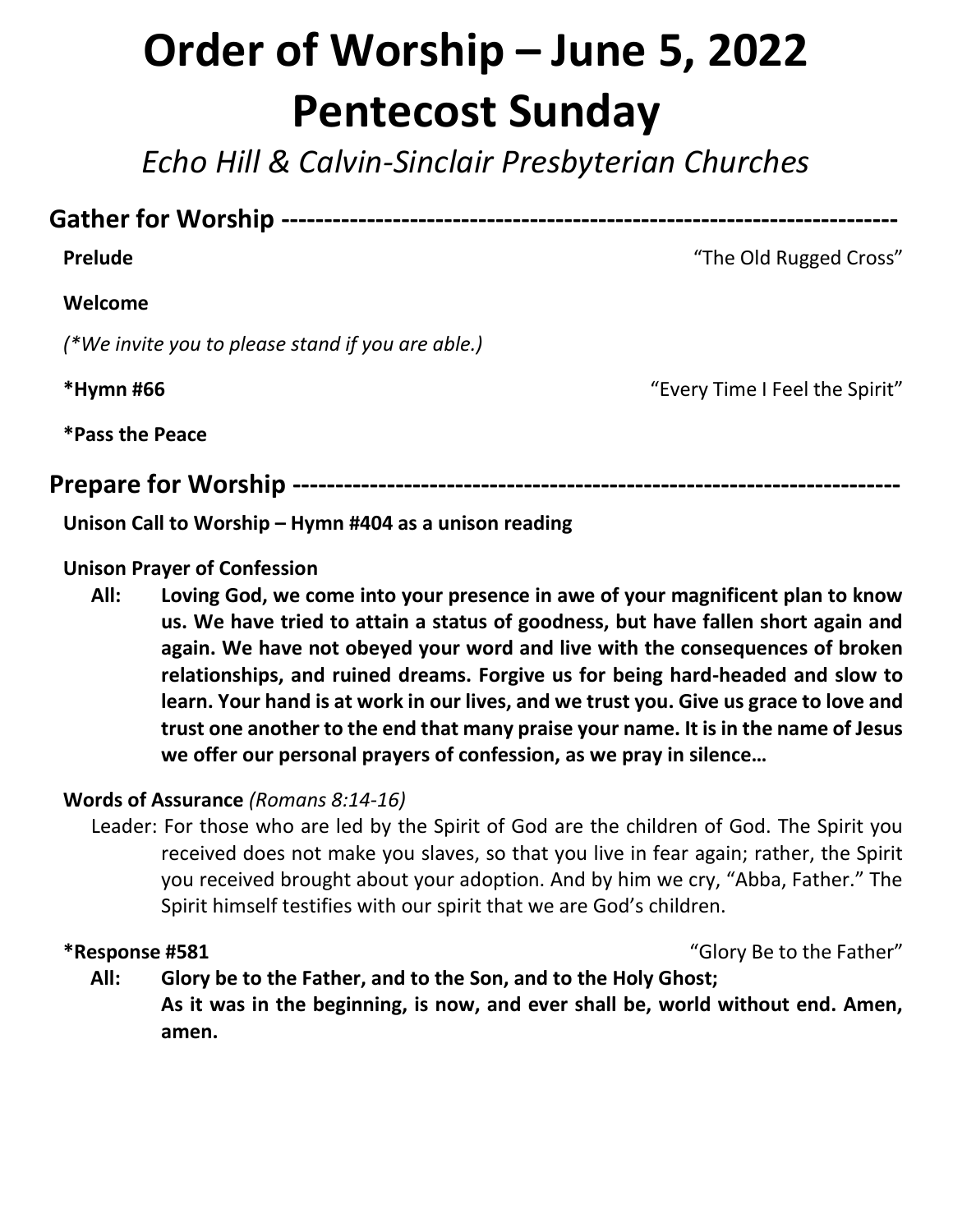# **Order of Worship – June 5, 2022 Pentecost Sunday**

*Echo Hill & Calvin-Sinclair Presbyterian Churches*

#### **Gather for Worship ------------------------------------------------------------------------**

#### **Welcome**

*(\*We invite you to please stand if you are able.)*

**\*Hymn #66** "Every Time I Feel the Spirit"

**\*Pass the Peace**

#### **Prepare for Worship -----------------------------------------------------------------------**

**Unison Call to Worship – Hymn #404 as a unison reading**

#### **Unison Prayer of Confession**

**All: Loving God, we come into your presence in awe of your magnificent plan to know us. We have tried to attain a status of goodness, but have fallen short again and again. We have not obeyed your word and live with the consequences of broken relationships, and ruined dreams. Forgive us for being hard-headed and slow to learn. Your hand is at work in our lives, and we trust you. Give us grace to love and trust one another to the end that many praise your name. It is in the name of Jesus we offer our personal prayers of confession, as we pray in silence…**

#### **Words of Assurance** *(Romans 8:14-16)*

Leader: For those who are led by the Spirit of God are the children of God. The Spirit you received does not make you slaves, so that you live in fear again; rather, the Spirit you received brought about your adoption. And by him we cry, "Abba, Father." The Spirit himself testifies with our spirit that we are God's children.

**\*Response #581** "Glory Be to the Father"

**All: Glory be to the Father, and to the Son, and to the Holy Ghost; As it was in the beginning, is now, and ever shall be, world without end. Amen, amen.**

**Prelude** The Old Rugged Cross"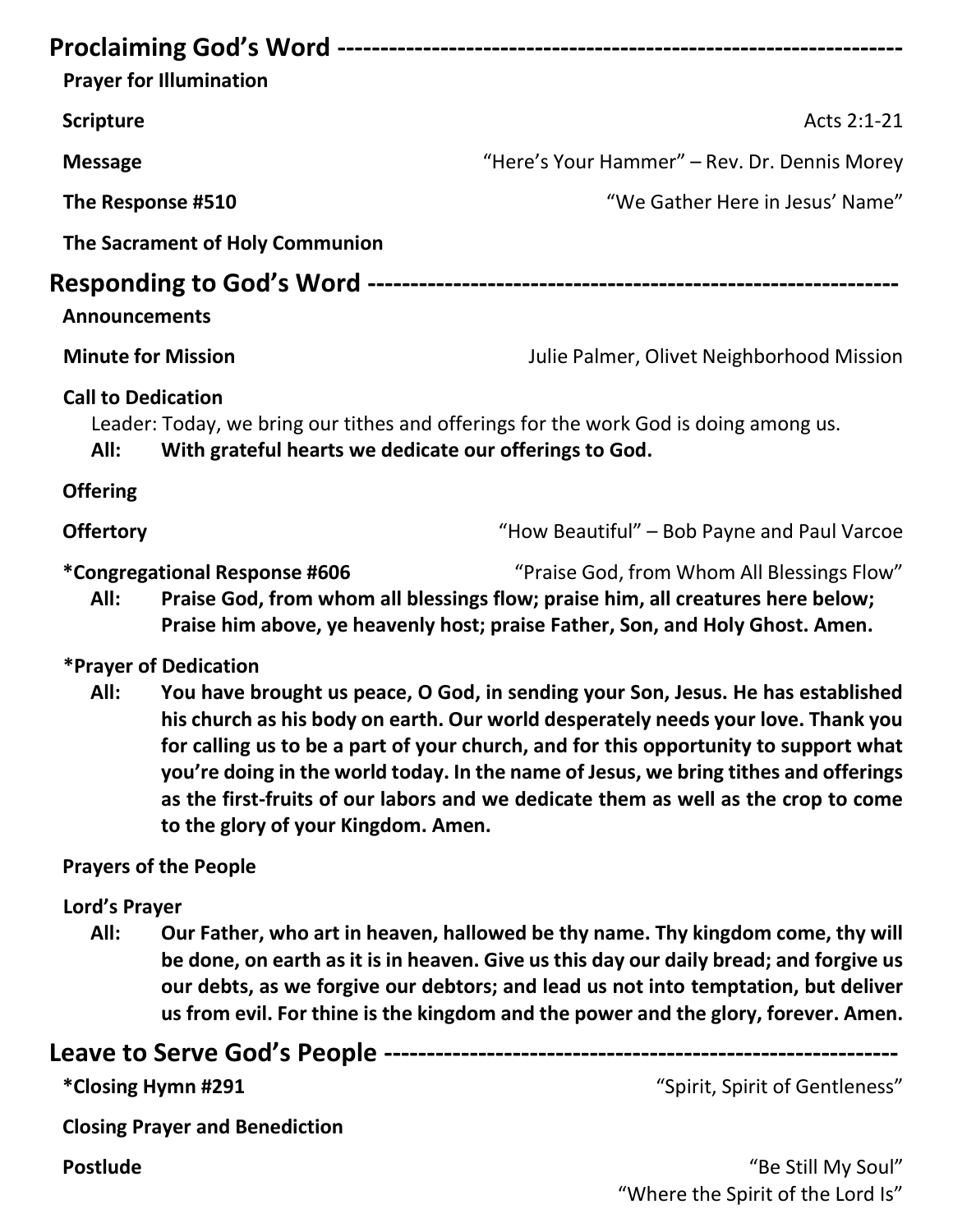|                                                                                                                                                                                                                                                                 | <b>Prayer for Illumination</b>                         |                                                                                                                                                                                                                                                               |
|-----------------------------------------------------------------------------------------------------------------------------------------------------------------------------------------------------------------------------------------------------------------|--------------------------------------------------------|---------------------------------------------------------------------------------------------------------------------------------------------------------------------------------------------------------------------------------------------------------------|
| <b>Scripture</b>                                                                                                                                                                                                                                                |                                                        | Acts 2:1-21                                                                                                                                                                                                                                                   |
| <b>Message</b>                                                                                                                                                                                                                                                  |                                                        | "Here's Your Hammer" - Rev. Dr. Dennis Morey                                                                                                                                                                                                                  |
|                                                                                                                                                                                                                                                                 | "We Gather Here in Jesus' Name"<br>The Response #510   |                                                                                                                                                                                                                                                               |
|                                                                                                                                                                                                                                                                 | The Sacrament of Holy Communion                        |                                                                                                                                                                                                                                                               |
| <b>Announcements</b>                                                                                                                                                                                                                                            |                                                        |                                                                                                                                                                                                                                                               |
| <b>Minute for Mission</b>                                                                                                                                                                                                                                       |                                                        | Julie Palmer, Olivet Neighborhood Mission                                                                                                                                                                                                                     |
| <b>Call to Dedication</b><br>All:                                                                                                                                                                                                                               | With grateful hearts we dedicate our offerings to God. | Leader: Today, we bring our tithes and offerings for the work God is doing among us.                                                                                                                                                                          |
| <b>Offering</b>                                                                                                                                                                                                                                                 |                                                        |                                                                                                                                                                                                                                                               |
| <b>Offertory</b>                                                                                                                                                                                                                                                |                                                        | "How Beautiful" – Bob Payne and Paul Varcoe                                                                                                                                                                                                                   |
| <i>*</i> Congregational Response #606<br>"Praise God, from Whom All Blessings Flow"<br>Praise God, from whom all blessings flow; praise him, all creatures here below;<br>All:<br>Praise him above, ye heavenly host; praise Father, Son, and Holy Ghost. Amen. |                                                        |                                                                                                                                                                                                                                                               |
| All:                                                                                                                                                                                                                                                            | *Prayer of Dedication                                  | You have brought us peace, O God, in sending your Son, Jesus. He has established<br>his church as his body on earth. Our world desperately needs your love. Thank you<br>for calling us to be a part of your church, and for this opportunity to support what |

**you're doing in the world today. In the name of Jesus, we bring tithes and offerings as the first-fruits of our labors and we dedicate them as well as the crop to come to the glory of your Kingdom. Amen.**

#### **Prayers of the People**

#### **Lord's Prayer**

**All: Our Father, who art in heaven, hallowed be thy name. Thy kingdom come, thy will be done, on earth as it is in heaven. Give us this day our daily bread; and forgive us our debts, as we forgive our debtors; and lead us not into temptation, but deliver us from evil. For thine is the kingdom and the power and the glory, forever. Amen.**

#### **Leave to Serve God's People ------------------------------------------------------------**

**\*Closing Hymn #291** "Spirit, Spirit of Gentleness"

**Closing Prayer and Benediction**

**Postlude** "Be Still My Soul" "Where the Spirit of the Lord Is"